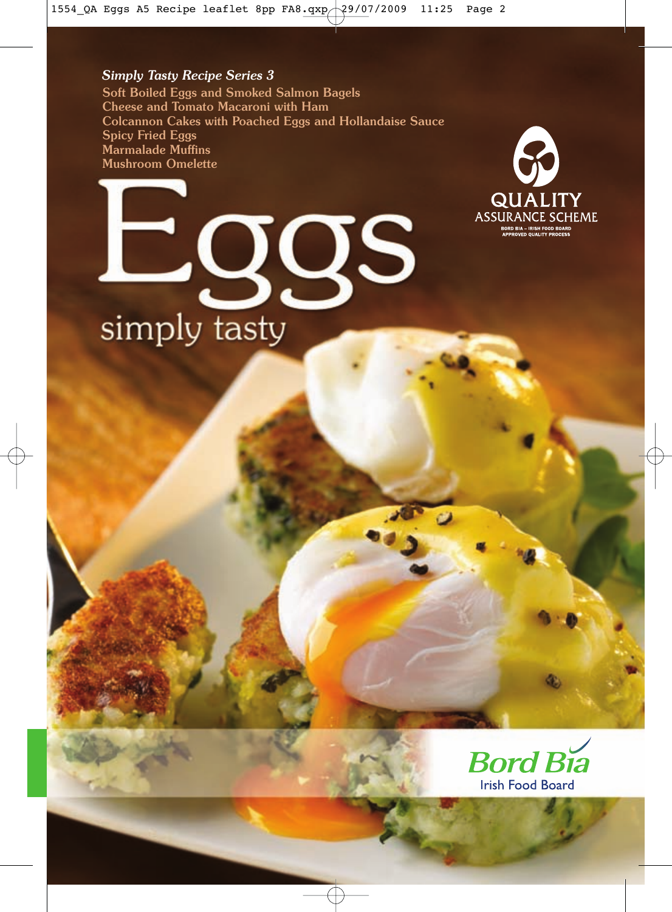#### *Simply Tasty Recipe Series 3*

Soft Boiled Eggs and Smoked Salmon Bagels Cheese and Tomato Macaroni with Ham Colcannon Cakes with Poached Eggs and Hollandaise Sauce Spicy Fried Eggs Marmalade Muffins Mushroom Omelette





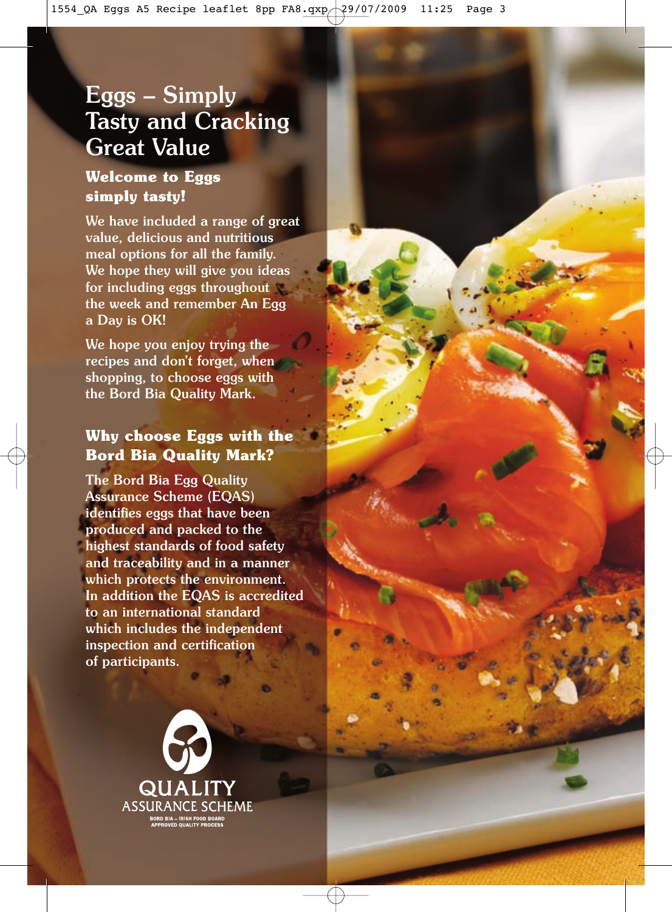### Eggs – Simply Tasty and Cracking Great Value

### **Welcome to Eggs simply tasty!**

We have included a range of great value, delicious and nutritious meal options for all the family. We hope they will give you ideas for including eggs throughout the week and remember An Egg a Day is OK!

We hope you enjoy trying the recipes and don't forget, when shopping, to choose eggs with the Bord Bia Quality Mark.

#### **Why choose Eggs with the Bord Bia Quality Mark?**

The Bord Bia Egg Quality Assurance Scheme (EQAS) identifies eggs that have been produced and packed to the highest standards of food safety and traceability and in a manner which protects the environment. In addition the EQAS is accredited to an international standard which includes the independent inspection and certification of participants.

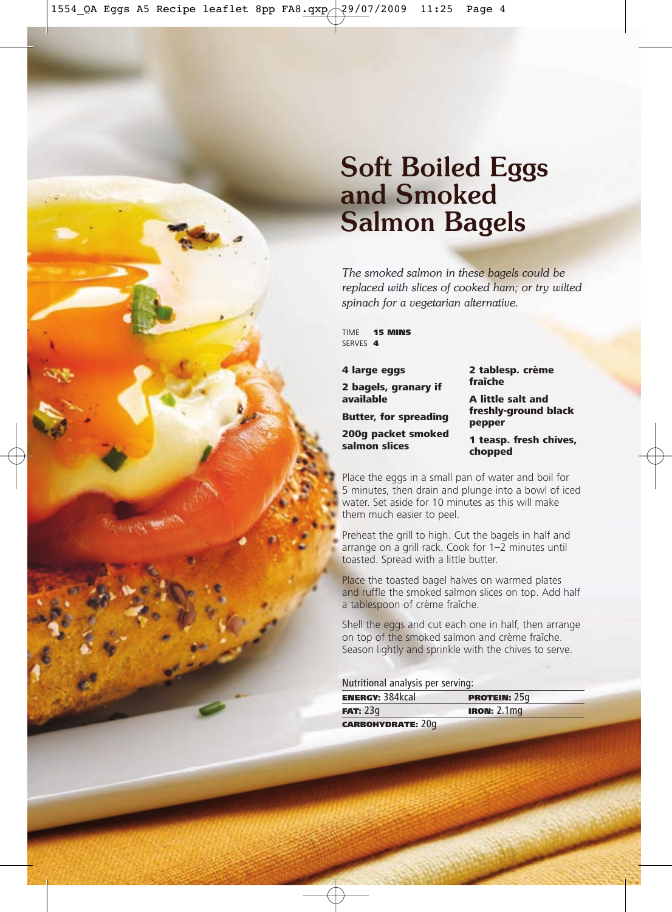## Soft Boiled Eggs and Smoked Salmon Bagels

*The smoked salmon in these bagels could be replaced with slices of cooked ham; or try wilted spinach for a vegetarian alternative.*

TIME **15 MINS** SERVES **4** 

4 large eggs

2 bagels, granary if available

Butter, for spreading

200g packet smoked salmon slices

2 tablesp. crème fraîche

A little salt and freshly-ground black pepper

1 teasp. fresh chives, chopped

Place the eggs in a small pan of water and boil for 5 minutes, then drain and plunge into a bowl of iced water. Set aside for 10 minutes as this will make them much easier to peel.

Preheat the grill to high. Cut the bagels in half and arrange on a grill rack. Cook for 1–2 minutes until toasted. Spread with a little butter.

Place the toasted bagel halves on warmed plates and ruffle the smoked salmon slices on top. Add half a tablespoon of crème fraîche.

Shell the eggs and cut each one in half, then arrange on top of the smoked salmon and crème fraîche. Season lightly and sprinkle with the chives to serve.

#### Nutritional analysis per serving:

| <b>ENERGY: 384kcal</b>   | <b>PROTEIN: <math>25q</math></b> |
|--------------------------|----------------------------------|
| FAT: 23q                 | <b>IRON: 2.1mg</b>               |
| <b>CARBOHYDRATE: 20g</b> |                                  |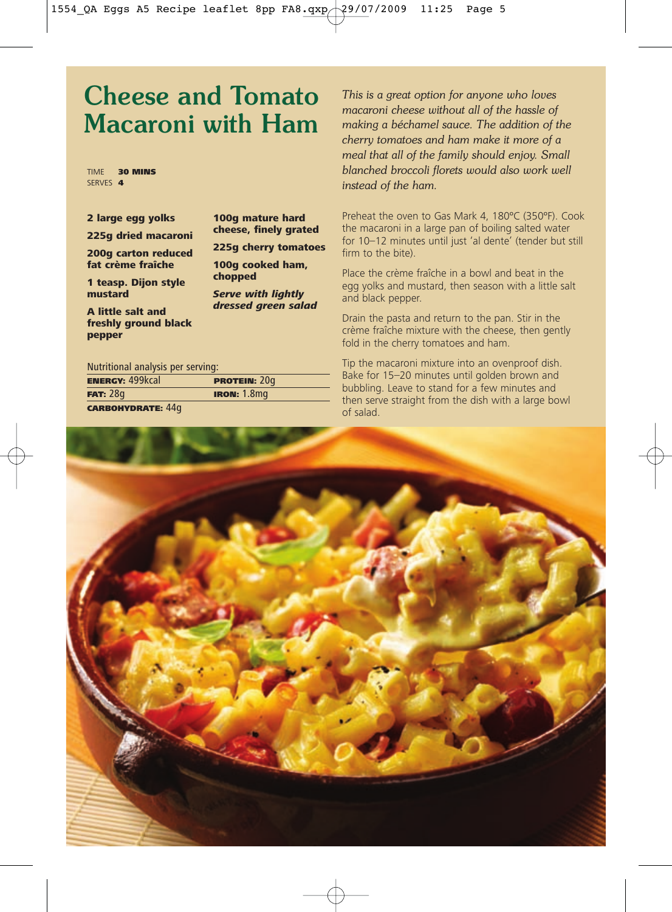### Cheese and Tomato Macaroni with Ham

TIME 30 MINS SERVES **4** 

|  |  |  | 2 large egg yolks |  |  |
|--|--|--|-------------------|--|--|
|--|--|--|-------------------|--|--|

225g dried macaroni

200g carton reduced fat crème fraîche

1 teasp. Dijon style mustard

A little salt and freshly ground black pepper

100g mature hard cheese, finely grated

225g cherry tomatoes

100g cooked ham, chopped

Serve with lightly dressed green salad

#### Nutritional analysis per serving:

**ENERGY: 499kcal PROTEIN: 20g FAT:** 28g **IRON:** 1.8mg CARBOHYDRATE: 44g

*This is a great option for anyone who loves macaroni cheese without all of the hassle of making a béchamel sauce. The addition of the cherry tomatoes and ham make it more of a meal that all of the family should enjoy. Small blanched broccoli florets would also work well instead of the ham.*

Preheat the oven to Gas Mark 4, 180ºC (350ºF). Cook the macaroni in a large pan of boiling salted water for 10–12 minutes until just 'al dente' (tender but still firm to the bite).

Place the crème fraîche in a bowl and beat in the egg yolks and mustard, then season with a little salt and black pepper.

Drain the pasta and return to the pan. Stir in the crème fraîche mixture with the cheese, then gently fold in the cherry tomatoes and ham.

Tip the macaroni mixture into an ovenproof dish. Bake for 15–20 minutes until golden brown and bubbling. Leave to stand for a few minutes and then serve straight from the dish with a large bowl of salad.

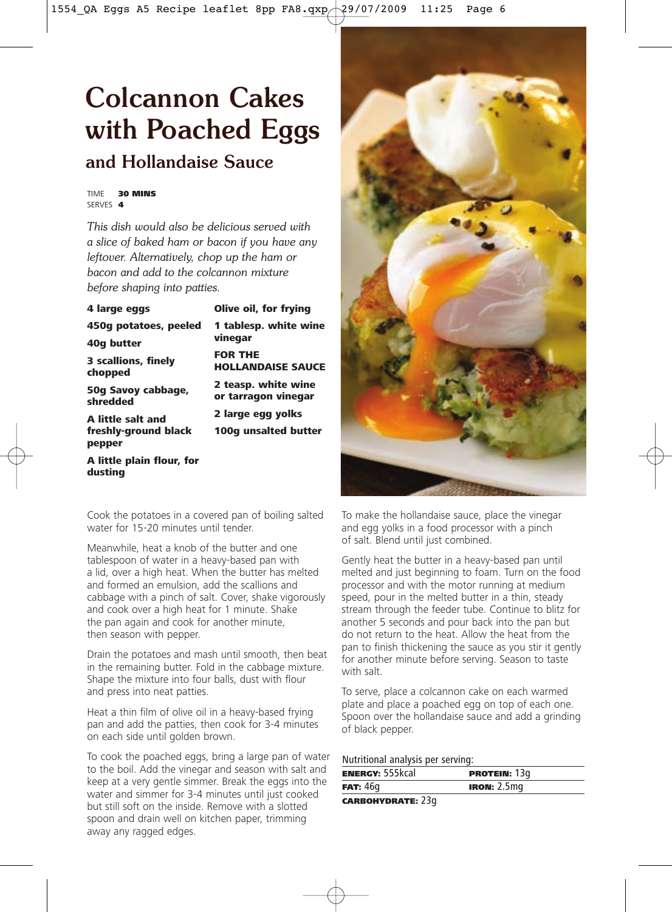## Colcannon Cakes with Poached Eggs and Hollandaise Sauce

TIME 30 MINS SERVES 4

dusting

*This dish would also be delicious served with a slice of baked ham or bacon if you have any leftover. Alternatively, chop up the ham or bacon and add to the colcannon mixture before shaping into patties.*

| 4 large eggs                   | Olive oil, for frying                      |
|--------------------------------|--------------------------------------------|
| 450g potatoes, peeled          | 1 tablesp. white wine<br>vinegar           |
| 40q butter                     |                                            |
| 3 scallions, finely<br>chopped | <b>FOR THE</b><br><b>HOLLANDAISE SAUCE</b> |
| 50g Savoy cabbage,<br>shredded | 2 teasp. white wine<br>or tarragon vinegar |
| <b>A little salt and</b>       | 2 large egg yolks                          |
| freshly-ground black<br>pepper | 100g unsalted butter                       |
| A little plain flour, for      |                                            |

Cook the potatoes in a covered pan of boiling salted water for 15-20 minutes until tender.

Meanwhile, heat a knob of the butter and one tablespoon of water in a heavy-based pan with a lid, over a high heat. When the butter has melted and formed an emulsion, add the scallions and cabbage with a pinch of salt. Cover, shake vigorously and cook over a high heat for 1 minute. Shake the pan again and cook for another minute, then season with pepper.

Drain the potatoes and mash until smooth, then beat in the remaining butter. Fold in the cabbage mixture. Shape the mixture into four balls, dust with flour and press into neat patties.

Heat a thin film of olive oil in a heavy-based frying pan and add the patties, then cook for 3-4 minutes on each side until golden brown.

To cook the poached eggs, bring a large pan of water to the boil. Add the vinegar and season with salt and keep at a very gentle simmer. Break the eggs into the water and simmer for 3-4 minutes until just cooked but still soft on the inside. Remove with a slotted spoon and drain well on kitchen paper, trimming away any ragged edges.



To make the hollandaise sauce, place the vinegar and egg yolks in a food processor with a pinch of salt. Blend until just combined.

Gently heat the butter in a heavy-based pan until melted and just beginning to foam. Turn on the food processor and with the motor running at medium speed, pour in the melted butter in a thin, steady stream through the feeder tube. Continue to blitz for another 5 seconds and pour back into the pan but do not return to the heat. Allow the heat from the pan to finish thickening the sauce as you stir it gently for another minute before serving. Season to taste with salt.

To serve, place a colcannon cake on each warmed plate and place a poached egg on top of each one. Spoon over the hollandaise sauce and add a grinding of black pepper.

Nutritional analysis per serving:

| <b>ENERGY: 555kcal</b>   | <b>PROTEIN: 13g</b>  |
|--------------------------|----------------------|
| FAT: 46q                 | <b>IRON:</b> $2.5mg$ |
| <b>CARBOHYDRATE: 23g</b> |                      |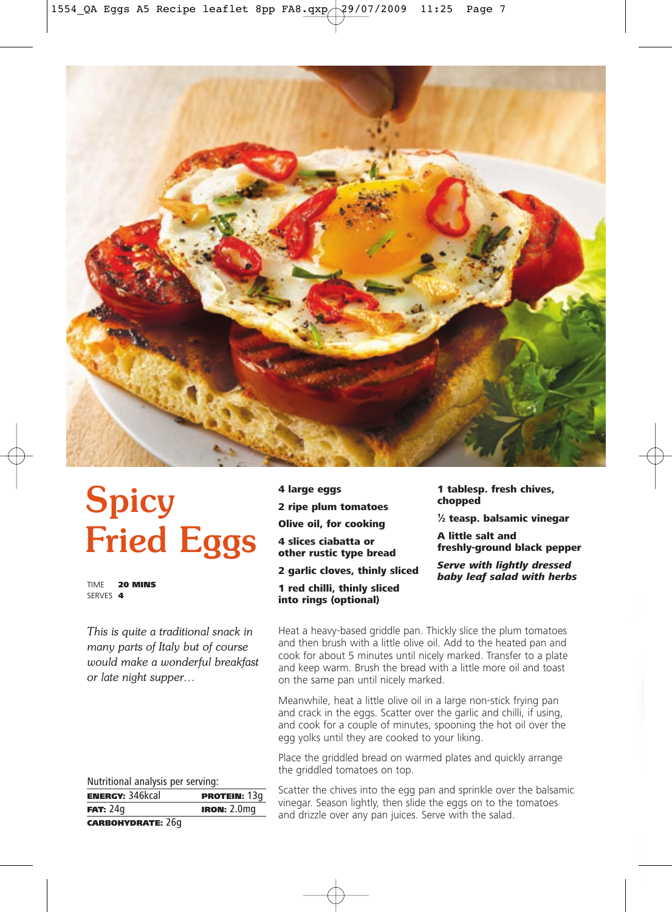

# Spicy Fried Eggs

TIME 20 MINS SERVES 4

*This is quite a traditional snack in many parts of Italy but of course would make a wonderful breakfast or late night supper…*

4 large eggs 2 ripe plum tomatoes Olive oil, for cooking 4 slices ciabatta or other rustic type bread 2 garlic cloves, thinly sliced 1 red chilli, thinly sliced into rings (optional)

1 tablesp. fresh chives, chopped

1 ⁄2 teasp. balsamic vinegar

A little salt and freshly-ground black pepper

Serve with liahtly dressed baby leaf salad with herbs

Heat a heavy-based griddle pan. Thickly slice the plum tomatoes and then brush with a little olive oil. Add to the heated pan and cook for about 5 minutes until nicely marked. Transfer to a plate and keep warm. Brush the bread with a little more oil and toast on the same pan until nicely marked.

Meanwhile, heat a little olive oil in a large non-stick frying pan and crack in the eggs. Scatter over the garlic and chilli, if using, and cook for a couple of minutes, spooning the hot oil over the egg yolks until they are cooked to your liking.

Place the griddled bread on warmed plates and quickly arrange the griddled tomatoes on top.

Nutritional analysis per serving:

| <b>ENERGY: 346kcal</b>   | <b>PROTEIN: 13g</b> |
|--------------------------|---------------------|
| FAT: 24q                 | <b>IRON: 2.0mg</b>  |
| <b>CARBOHYDRATE: 26g</b> |                     |

Scatter the chives into the egg pan and sprinkle over the balsamic vinegar. Season lightly, then slide the eggs on to the tomatoes and drizzle over any pan juices. Serve with the salad.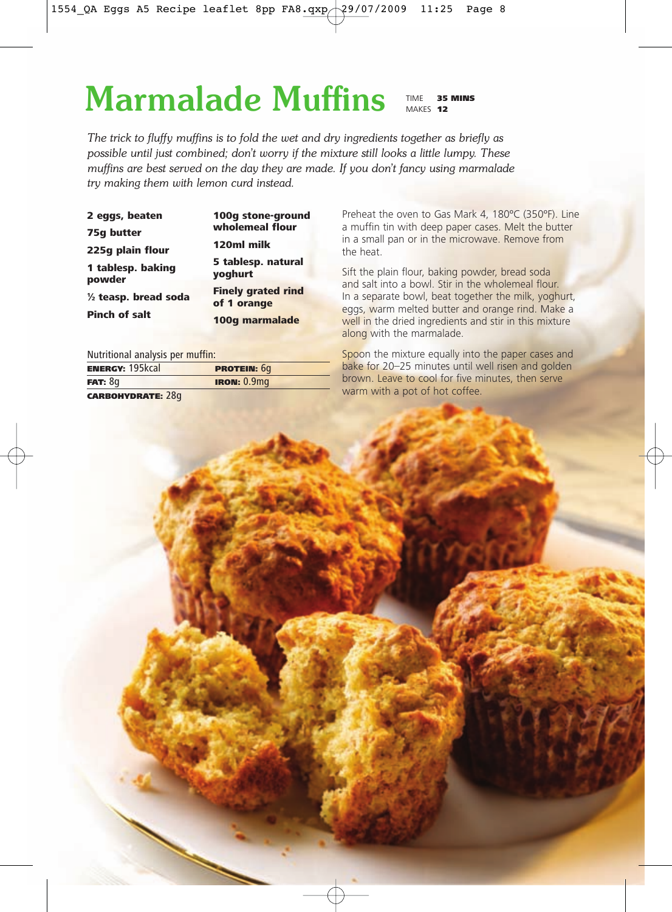# Marmalade Muffins

TIME 35 MINS MAKES **12** 

*The trick to fluffy muffins is to fold the wet and dry ingredients together as briefly as possible until just combined; don't worry if the mixture still looks a little lumpy. These muffins are best served on the day they are made. If you don't fancy using marmalade try making them with lemon curd instead.*

| 2 eggs, beaten                  | 100g stone-ground                        |  |
|---------------------------------|------------------------------------------|--|
| 75q butter                      | wholemeal flour                          |  |
| 225q plain flour                | 120ml milk                               |  |
| 1 tablesp. baking<br>powder     | 5 tablesp. natural<br>yoghurt            |  |
| $\frac{1}{2}$ teasp. bread soda | <b>Finely grated rind</b><br>of 1 orange |  |
| <b>Pinch of salt</b>            | 100g marmalade                           |  |

Nutritional analysis per muffin:

| <b>ENERGY: 195kcal</b>   | <b>PROTEIN: 6q</b> |
|--------------------------|--------------------|
| FAT: 8g                  | <b>IRON: 0.9mg</b> |
| <b>CARBOHYDRATE: 28g</b> |                    |

Preheat the oven to Gas Mark 4, 180ºC (350ºF). Line a muffin tin with deep paper cases. Melt the butter in a small pan or in the microwave. Remove from the heat.

Sift the plain flour, baking powder, bread soda and salt into a bowl. Stir in the wholemeal flour. In a separate bowl, beat together the milk, yoghurt, eggs, warm melted butter and orange rind. Make a well in the dried ingredients and stir in this mixture along with the marmalade.

Spoon the mixture equally into the paper cases and bake for 20–25 minutes until well risen and golden brown. Leave to cool for five minutes, then serve warm with a pot of hot coffee.